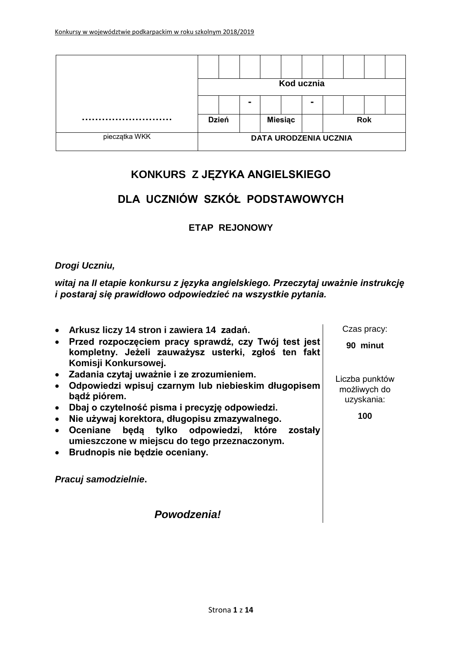|               | Kod ucznia                   |  |                |                |  |                |            |  |  |  |
|---------------|------------------------------|--|----------------|----------------|--|----------------|------------|--|--|--|
|               |                              |  | $\blacksquare$ |                |  | $\blacksquare$ |            |  |  |  |
|               | <b>Dzień</b>                 |  |                | <b>Miesiąc</b> |  |                | <b>Rok</b> |  |  |  |
| pieczątka WKK | <b>DATA URODZENIA UCZNIA</b> |  |                |                |  |                |            |  |  |  |

# **KONKURS Z JĘZYKA ANGIELSKIEGO**

# **DLA UCZNIÓW SZKÓŁ PODSTAWOWYCH**

### **ETAP REJONOWY**

#### *Drogi Uczniu,*

*witaj na II etapie konkursu z języka angielskiego. Przeczytaj uważnie instrukcję i postaraj się prawidłowo odpowiedzieć na wszystkie pytania.*

 **Arkusz liczy 14 stron i zawiera 14 zadań. Przed rozpoczęciem pracy sprawdź, czy Twój test jest kompletny. Jeżeli zauważysz usterki, zgłoś ten fakt Komisji Konkursowej. Zadania czytaj uważnie i ze zrozumieniem. Odpowiedzi wpisuj czarnym lub niebieskim długopisem bądź piórem. Dbaj o czytelność pisma i precyzję odpowiedzi. Nie używaj korektora, długopisu zmazywalnego. Oceniane będą tylko odpowiedzi, które zostały umieszczone w miejscu do tego przeznaczonym. Brudnopis nie będzie oceniany.** *Pracuj samodzielnie***.** Czas pracy: **90 minut** Liczba punktów możliwych do uzyskania: **100**

*Powodzenia!*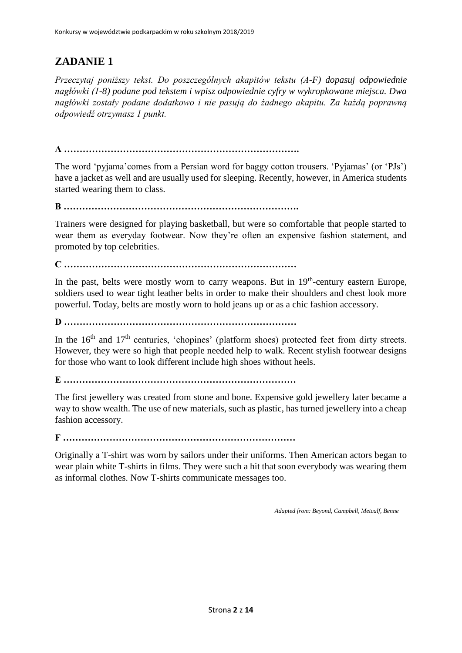*Przeczytaj poniższy tekst. Do poszczególnych akapitów tekstu (A-F) dopasuj odpowiednie nagłówki (1-8) podane pod tekstem i wpisz odpowiednie cyfry w wykropkowane miejsca. Dwa nagłówki zostały podane dodatkowo i nie pasują do żadnego akapitu. Za każdą poprawną odpowiedź otrzymasz 1 punkt.*

**A ………………………………………………………………….**

The word 'pyjama'comes from a Persian word for baggy cotton trousers. 'Pyjamas' (or 'PJs') have a jacket as well and are usually used for sleeping. Recently, however, in America students started wearing them to class.

**B ………………………………………………………………….**

Trainers were designed for playing basketball, but were so comfortable that people started to wear them as everyday footwear. Now they're often an expensive fashion statement, and promoted by top celebrities.

**C …………………………………………………………………**

In the past, belts were mostly worn to carry weapons. But in 19<sup>th</sup>-century eastern Europe, soldiers used to wear tight leather belts in order to make their shoulders and chest look more powerful. Today, belts are mostly worn to hold jeans up or as a chic fashion accessory.

**D …………………………………………………………………**

In the  $16<sup>th</sup>$  and  $17<sup>th</sup>$  centuries, 'chopines' (platform shoes) protected feet from dirty streets. However, they were so high that people needed help to walk. Recent stylish footwear designs for those who want to look different include high shoes without heels.

**E …………………………………………………………………**

The first jewellery was created from stone and bone. Expensive gold jewellery later became a way to show wealth. The use of new materials, such as plastic, has turned jewellery into a cheap fashion accessory.

**F …………………………………………………………………**

Originally a T-shirt was worn by sailors under their uniforms. Then American actors began to wear plain white T-shirts in films. They were such a hit that soon everybody was wearing them as informal clothes. Now T-shirts communicate messages too.

*Adapted from: Beyond, Campbell, Metcalf, Benne*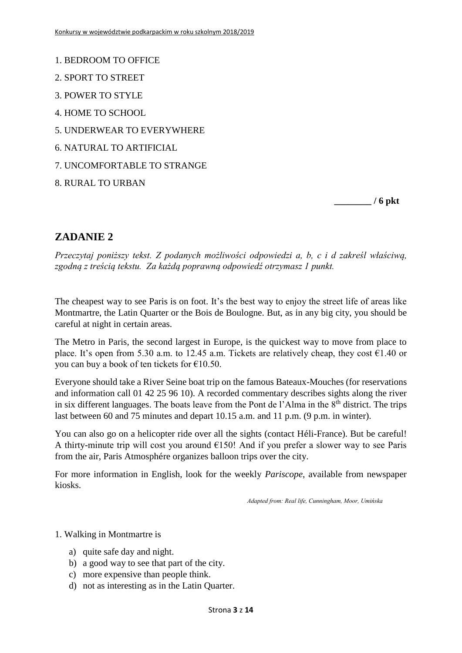- 1. BEDROOM TO OFFICE
- 2. SPORT TO STREET
- 3. POWER TO STYLE
- 4. HOME TO SCHOOL
- 5. UNDERWEAR TO EVERYWHERE
- 6. NATURAL TO ARTIFICIAL
- 7. UNCOMFORTABLE TO STRANGE
- 8. RURAL TO URBAN

**\_\_\_\_\_\_\_\_ / 6 pkt**

### **ZADANIE 2**

*Przeczytaj poniższy tekst. Z podanych możliwości odpowiedzi a, b, c i d zakreśl właściwą, zgodną z treścią tekstu. Za każdą poprawną odpowiedź otrzymasz 1 punkt.*

The cheapest way to see Paris is on foot. It's the best way to enjoy the street life of areas like Montmartre, the Latin Quarter or the Bois de Boulogne. But, as in any big city, you should be careful at night in certain areas.

The Metro in Paris, the second largest in Europe, is the quickest way to move from place to place. It's open from 5.30 a.m. to 12.45 a.m. Tickets are relatively cheap, they cost  $\epsilon$ 1.40 or you can buy a book of ten tickets for €10.50.

Everyone should take a River Seine boat trip on the famous Bateaux-Mouches (for reservations and information call 01 42 25 96 10). A recorded commentary describes sights along the river in six different languages. The boats leave from the Pont de l'Alma in the  $8<sup>th</sup>$  district. The trips last between 60 and 75 minutes and depart 10.15 a.m. and 11 p.m. (9 p.m. in winter).

You can also go on a helicopter ride over all the sights (contact Héli-France). But be careful! A thirty-minute trip will cost you around  $E150!$  And if you prefer a slower way to see Paris from the air, Paris Atmosphére organizes balloon trips over the city.

For more information in English, look for the weekly *Pariscope*, available from newspaper kiosks.

*Adapted from: Real life, Cunningham, Moor, Umińska*

#### 1. Walking in Montmartre is

- a) quite safe day and night.
- b) a good way to see that part of the city.
- c) more expensive than people think.
- d) not as interesting as in the Latin Quarter.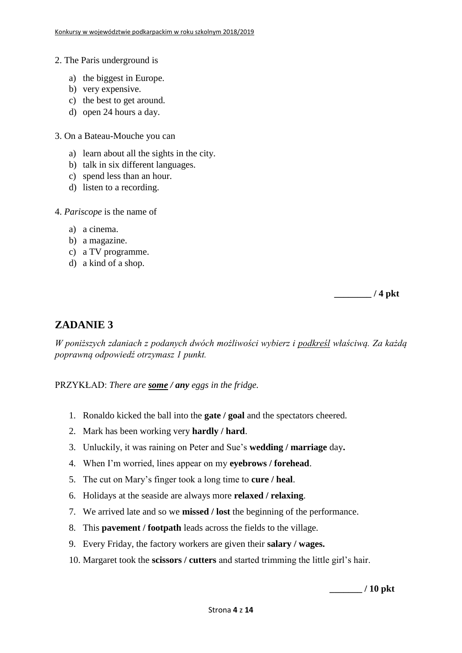- 2. The Paris underground is
	- a) the biggest in Europe.
	- b) very expensive.
	- c) the best to get around.
	- d) open 24 hours a day.
- 3. On a Bateau-Mouche you can
	- a) learn about all the sights in the city.
	- b) talk in six different languages.
	- c) spend less than an hour.
	- d) listen to a recording.
- 4. *Pariscope* is the name of
	- a) a cinema.
	- b) a magazine.
	- c) a TV programme.
	- d) a kind of a shop.

**\_\_\_\_\_\_\_\_ / 4 pkt**

### **ZADANIE 3**

*W poniższych zdaniach z podanych dwóch możliwości wybierz i podkreśl właściwą. Za każdą poprawną odpowiedź otrzymasz 1 punkt.*

PRZYKŁAD: *There are some / any eggs in the fridge.*

- 1. Ronaldo kicked the ball into the **gate / goal** and the spectators cheered.
- 2. Mark has been working very **hardly / hard**.
- 3. Unluckily, it was raining on Peter and Sue's **wedding / marriage** day**.**
- 4. When I'm worried, lines appear on my **eyebrows / forehead**.
- 5. The cut on Mary's finger took a long time to **cure / heal**.
- 6. Holidays at the seaside are always more **relaxed / relaxing**.
- 7. We arrived late and so we **missed / lost** the beginning of the performance.
- 8. This **pavement / footpath** leads across the fields to the village.
- 9. Every Friday, the factory workers are given their **salary / wages.**
- 10. Margaret took the **scissors / cutters** and started trimming the little girl's hair.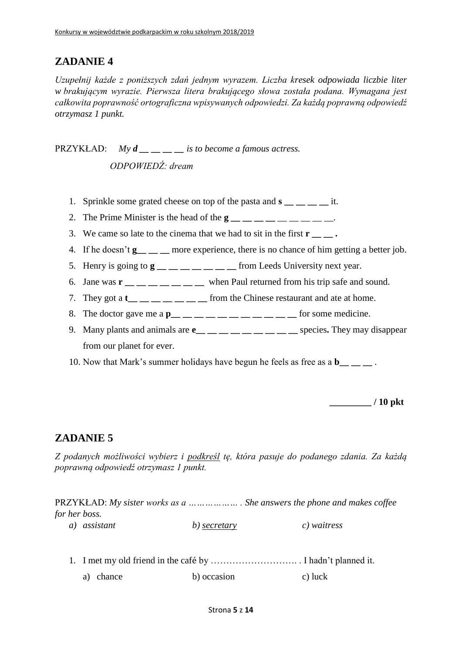*Uzupełnij każde z poniższych zdań jednym wyrazem. Liczba kresek odpowiada liczbie liter w brakującym wyrazie. Pierwsza litera brakującego słowa została podana. Wymagana jest całkowita poprawność ortograficzna wpisywanych odpowiedzi. Za każdą poprawną odpowiedź otrzymasz 1 punkt.*

PRZYKŁAD: *My d*  $i$  *<i>is to become a famous actress. ODPOWIEDŹ: dream*

- 1. Sprinkle some grated cheese on top of the pasta and **s \_\_ \_\_ \_\_ \_\_** it.
- 2. The Prime Minister is the head of the **g**
- 3. We came so late to the cinema that we had to sit in the first **r**  $\cdot$
- 4. If he doesn't **g** \_\_ \_ more experience, there is no chance of him getting a better job.
- 5. Henry is going to  $\mathbf{g}$  \_\_ \_ \_ \_ \_ \_ \_ \_ from Leeds University next year.
- 6. Jane was **r \_\_ \_\_ \_\_ \_\_ \_\_ \_\_ \_\_** when Paul returned from his trip safe and sound.
- 7. They got a  $t_{\dots} =$  \_ \_ \_ \_ \_ \_ from the Chinese restaurant and ate at home.
- 8. The doctor gave me a  $\mathbf{p}_{\text{max}} = 1$  and  $\mathbf{p}_{\text{max}} = 1$  and  $\mathbf{p}_{\text{max}} = 1$  and  $\mathbf{p}_{\text{max}} = 1$  for some medicine.
- 9. Many plants and animals are **e\_\_ \_\_ \_\_ \_\_ \_\_ \_\_ \_\_ \_\_ \_\_** species**.** They may disappear from our planet for ever.
- 10. Now that Mark's summer holidays have begun he feels as free as a **b\_\_ \_\_ \_\_** .

**\_\_\_\_\_\_\_\_\_ / 10 pkt**

### **ZADANIE 5**

*Z podanych możliwości wybierz i podkreśl tę, która pasuje do podanego zdania. Za każdą poprawną odpowiedź otrzymasz 1 punkt.*

PRZYKŁAD: *My sister works as a ……………… . She answers the phone and makes coffee for her boss.*

*a) assistant b) secretary c) waitress*

1. I met my old friend in the café by ………………………. . I hadn't planned it. a) chance b) occasion c) luck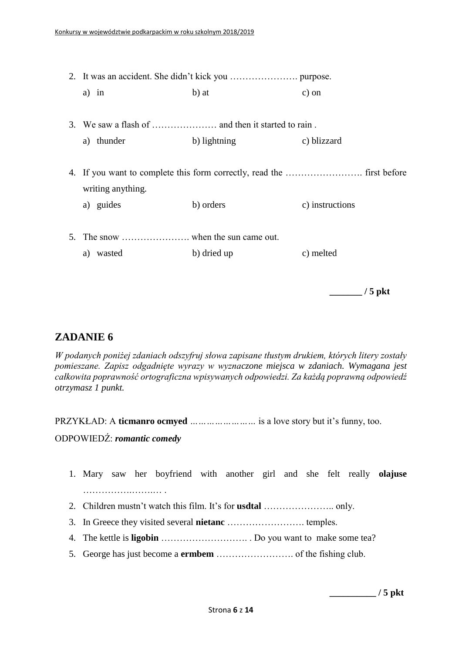|    | a) in             | b) at        | $c)$ on         |  |  |  |
|----|-------------------|--------------|-----------------|--|--|--|
|    |                   |              |                 |  |  |  |
|    |                   |              |                 |  |  |  |
|    | thunder<br>a)     | b) lightning | c) blizzard     |  |  |  |
|    |                   |              |                 |  |  |  |
|    |                   |              |                 |  |  |  |
|    | writing anything. |              |                 |  |  |  |
|    | a) guides         | b) orders    | c) instructions |  |  |  |
|    |                   |              |                 |  |  |  |
| 5. |                   |              |                 |  |  |  |
|    | wasted<br>a)      | b) dried up  | c) melted       |  |  |  |
|    |                   |              |                 |  |  |  |

**\_\_\_\_\_\_\_ / 5 pkt**

### **ZADANIE 6**

*W podanych poniżej zdaniach odszyfruj słowa zapisane tłustym drukiem, których litery zostały pomieszane. Zapisz odgadnięte wyrazy w wyznaczone miejsca w zdaniach. Wymagana jest całkowita poprawność ortograficzna wpisywanych odpowiedzi. Za każdą poprawną odpowiedź otrzymasz 1 punkt.*

PRZYKŁAD: A **ticmanro ocmyed** *……………………* is a love story but it's funny, too.

#### ODPOWIEDŹ: *romantic comedy*

- 1. Mary saw her boyfriend with another girl and she felt really **olajuse** …………….…….… .
- 2. Children mustn't watch this film. It's for **usdtal** ………………….. only.
- 3. In Greece they visited several **nietanc** ……………………. temples.
- 4. The kettle is **ligobin** ………………………. . Do you want to make some tea?
- 5. George has just become a **ermbem** ……………………. of the fishing club.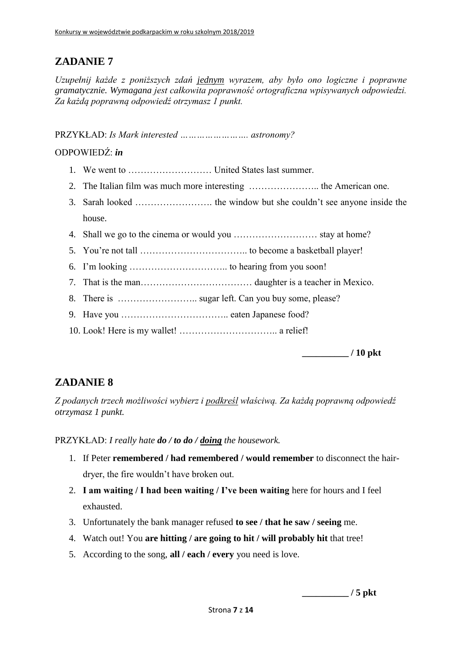*Uzupełnij każde z poniższych zdań jednym wyrazem, aby było ono logiczne i poprawne gramatycznie. Wymagana jest całkowita poprawność ortograficzna wpisywanych odpowiedzi. Za każdą poprawną odpowiedź otrzymasz 1 punkt.*

PRZYKŁAD: *Is Mark interested ……………………. astronomy?*

### ODPOWIEDŹ: *in*

- 1. We went to ……………………… United States last summer.
- 2. The Italian film was much more interesting ………………….. the American one.
- 3. Sarah looked ……………………. the window but she couldn't see anyone inside the house.
- 4. Shall we go to the cinema or would you ……………………… stay at home?
- 5. You're not tall …………………………….. to become a basketball player!
- 6. I'm looking ………………………….. to hearing from you soon!
- 7. That is the man……………………………… daughter is a teacher in Mexico.
- 8. There is …………………….. sugar left. Can you buy some, please?
- 9. Have you …………………………….. eaten Japanese food?
- 10. Look! Here is my wallet! ………………………….. a relief!

**\_\_\_\_\_\_\_\_\_\_ / 10 pkt**

## **ZADANIE 8**

*Z podanych trzech możliwości wybierz i podkreśl właściwą. Za każdą poprawną odpowiedź otrzymasz 1 punkt.*

PRZYKŁAD: *I really hate do / to do / doing the housework.*

- 1. If Peter **remembered / had remembered / would remember** to disconnect the hairdryer, the fire wouldn't have broken out.
- 2. **I am waiting / I had been waiting / I've been waiting** here for hours and I feel exhausted.
- 3. Unfortunately the bank manager refused **to see / that he saw / seeing** me.
- 4. Watch out! You **are hitting / are going to hit / will probably hit** that tree!
- 5. According to the song, **all / each / every** you need is love.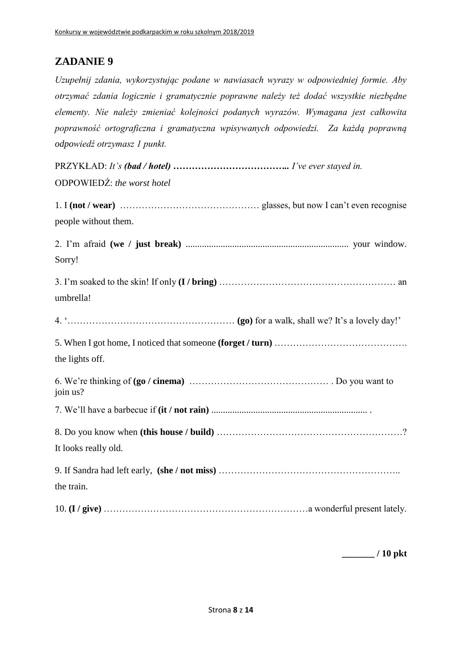*Uzupełnij zdania, wykorzystując podane w nawiasach wyrazy w odpowiedniej formie. Aby otrzymać zdania logicznie i gramatycznie poprawne należy też dodać wszystkie niezbędne elementy. Nie należy zmieniać kolejności podanych wyrazów. Wymagana jest całkowita poprawność ortograficzna i gramatyczna wpisywanych odpowiedzi. Za każdą poprawną odpowiedź otrzymasz 1 punkt.*

| ODPOWIEDŹ: the worst hotel |  |
|----------------------------|--|
| people without them.       |  |
| Sorry!                     |  |
| umbrella!                  |  |
|                            |  |
| the lights off.            |  |
| join us?                   |  |
|                            |  |
|                            |  |
| It looks really old.       |  |
| the train.                 |  |
|                            |  |

**\_\_\_\_\_\_\_ / 10 pkt**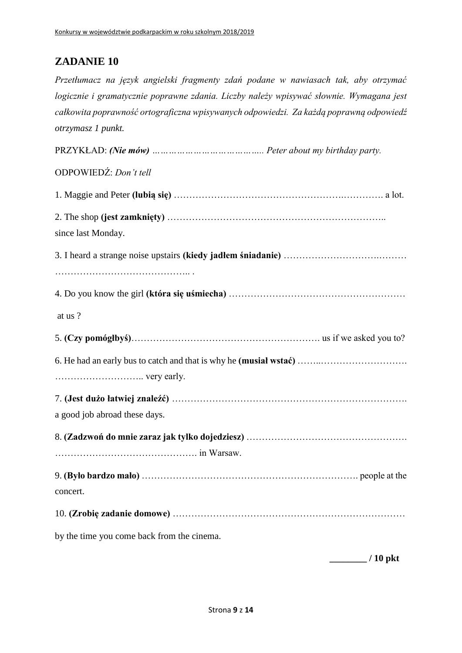*Przetłumacz na język angielski fragmenty zdań podane w nawiasach tak, aby otrzymać logicznie i gramatycznie poprawne zdania. Liczby należy wpisywać słownie. Wymagana jest całkowita poprawność ortograficzna wpisywanych odpowiedzi. Za każdą poprawną odpowiedź otrzymasz 1 punkt.*

PRZYKŁAD: *(Nie mów) ………………………………….. Peter about my birthday party.* ODPOWIEDŹ: *Don't tell* 1. Maggie and Peter **(lubią się)** ……………………………………………….…………. a lot. 2. The shop **(jest zamknięty)** …………………………………………………………….. since last Monday. 3. I heard a strange noise upstairs **(kiedy jadłem śniadanie)** ………………………….……… …………………………………….. . 4. Do you know the girl **(która się uśmiecha)** ………………………………………………… at us ? 5. **(Czy pomógłbyś)**……………………………………………………. us if we asked you to? 6. He had an early bus to catch and that is why he **(musiał wstać)** ……..………………………. ……………………….. very early. 7. **(Jest dużo łatwiej znaleźć)** …………………………………………………………………. a good job abroad these days. 8. **(Zadzwoń do mnie zaraz jak tylko dojedziesz)** ……………………………………………. ………………………………………. in Warsaw. 9. **(Było bardzo mało)** ……………………………………………………………. people at the concert. 10. **(Zrobię zadanie domowe)** ………………………………………………………………… by the time you come back from the cinema.

**\_\_\_\_\_\_\_\_ / 10 pkt**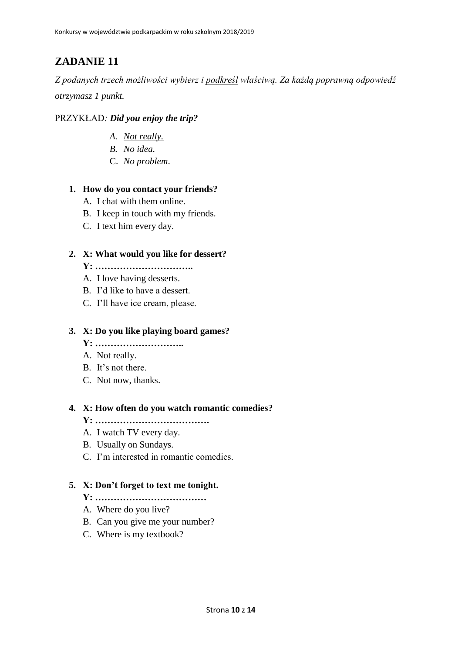*Z podanych trzech możliwości wybierz i podkreśl właściwą. Za każdą poprawną odpowiedź otrzymasz 1 punkt.*

#### PRZYKŁAD*: Did you enjoy the trip?*

- *A. Not really.*
- *B. No idea.*
- C. *No problem*.

#### **1. How do you contact your friends?**

- A. I chat with them online.
- B. I keep in touch with my friends.
- C. I text him every day.

#### **2. X: What would you like for dessert?**

- **Y: …………………………..**
- A. I love having desserts.
- B. I'd like to have a dessert.
- C. I'll have ice cream, please.

#### **3. X: Do you like playing board games?**

- **Y: ………………………..**
- A. Not really.
- B. It's not there.
- C. Not now, thanks.

#### **4. X: How often do you watch romantic comedies?**

- **Y: ……………………………….**
- A. I watch TV every day.
- B. Usually on Sundays.
- C. I'm interested in romantic comedies.

#### **5. X: Don't forget to text me tonight.**

- **Y: ………………………………**
- A. Where do you live?
- B. Can you give me your number?
- C. Where is my textbook?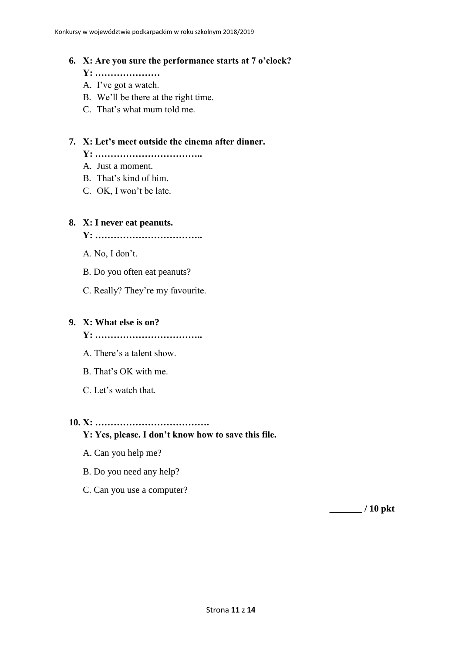#### **6. X: Are you sure the performance starts at 7 o'clock?**

- **Y: …………………**
- A. I've got a watch.
- B. We'll be there at the right time.
- C. That's what mum told me.

#### **7. X: Let's meet outside the cinema after dinner.**

**Y: ……………………………..**

- A. Just a moment.
- B. That's kind of him.
- C. OK, I won't be late.

#### **8. X: I never eat peanuts.**

**Y: ……………………………..**

A. No, I don't.

- B. Do you often eat peanuts?
- C. Really? They're my favourite.

#### **9. X: What else is on?**

**Y: ……………………………..**

- A. There's a talent show.
- B. That's OK with me.
- C. Let's watch that.

### **10. X: ……………………………….**

#### **Y: Yes, please. I don't know how to save this file.**

- A. Can you help me?
- B. Do you need any help?
- C. Can you use a computer?

**\_\_\_\_\_\_\_ / 10 pkt**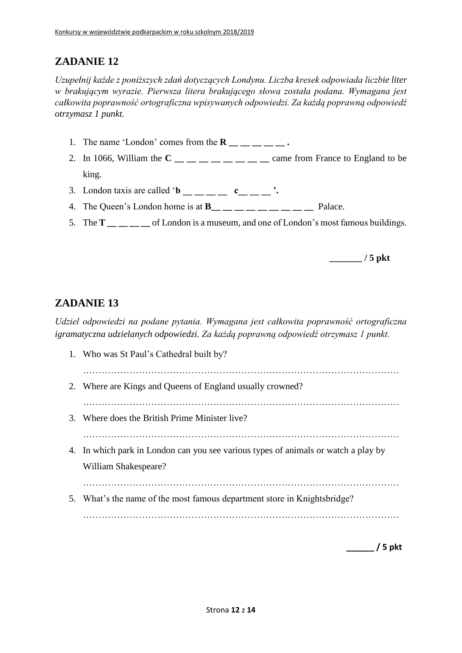*Uzupełnij każde z poniższych zdań dotyczących Londynu. Liczba kresek odpowiada liczbie liter w brakującym wyrazie. Pierwsza litera brakującego słowa została podana. Wymagana jest całkowita poprawność ortograficzna wpisywanych odpowiedzi. Za każdą poprawną odpowiedź otrzymasz 1 punkt.*

- 1. The name 'London' comes from the  $\mathbf{R}$  \_\_ \_ \_ \_ \_ .
- 2. In 1066, William the  $C_{\text{max}} = 2$  and  $C_{\text{max}} = 2$  and from France to England to be king.
- 3. London taxis are called ' $\mathbf{b}$  \_\_ \_ \_ c\_ \_ \_ '.
- 4. The Queen's London home is at **B** Palace.
- 5. The **T \_\_ \_\_ \_\_ \_\_** of London is a museum, and one of London's most famous buildings.

**\_\_\_\_\_\_\_ / 5 pkt**

### **ZADANIE 13**

*Udziel odpowiedzi na podane pytania. Wymagana jest całkowita poprawność ortograficzna igramatyczna udzielanych odpowiedzi. Za każdą poprawną odpowiedź otrzymasz 1 punkt.*

1. Who was St Paul's Cathedral built by? ………………………………………………………………………………………… 2. Where are Kings and Queens of England usually crowned? ………………………………………………………………………………………… 3. Where does the British Prime Minister live? ………………………………………………………………………………………… 4. In which park in London can you see various types of animals or watch a play by William Shakespeare? ………………………………………………………………………………………… 5. What's the name of the most famous department store in Knightsbridge? …………………………………………………………………………………………

**\_\_\_\_\_\_ / 5 pkt**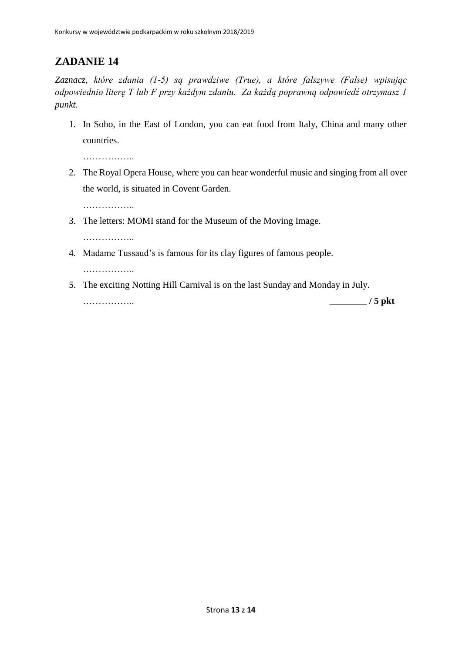*Zaznacz, które zdania (1-5) są prawdziwe (True), a które fałszywe (False) wpisując odpowiednio literę T lub F przy każdym zdaniu. Za każdą poprawną odpowiedź otrzymasz 1 punkt.*

1. In Soho, in the East of London, you can eat food from Italy, China and many other countries.

……………..

2. The Royal Opera House, where you can hear wonderful music and singing from all over the world, is situated in Covent Garden.

……………..

3. The letters: MOMI stand for the Museum of the Moving Image.

………………

4. Madame Tussaud's is famous for its clay figures of famous people.

……………..

5. The exciting Notting Hill Carnival is on the last Sunday and Monday in July.

…………….. **\_\_\_\_\_\_\_\_ / 5 pkt**